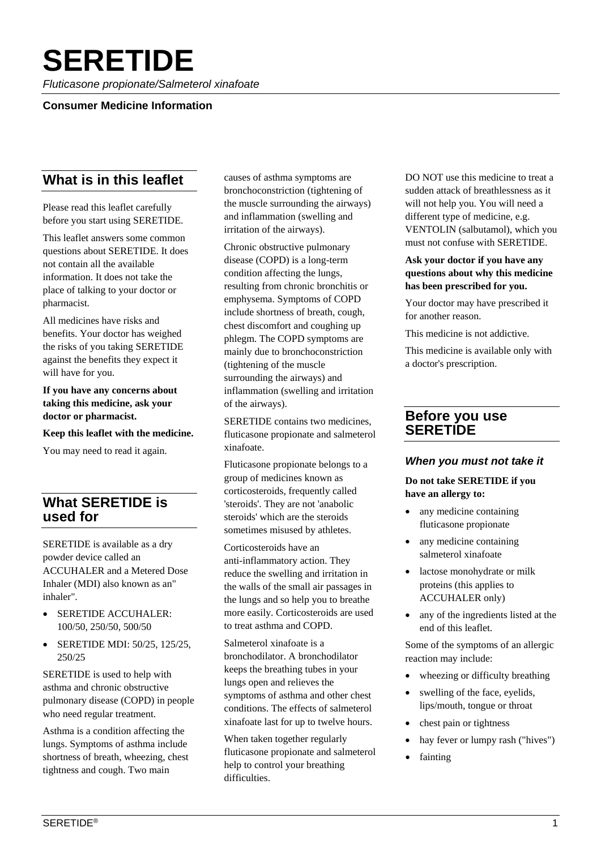# **SERETIDE**

*Fluticasone propionate/Salmeterol xinafoate*

#### **Consumer Medicine Information**

# **What is in this leaflet**

Please read this leaflet carefully before you start using SERETIDE.

This leaflet answers some common questions about SERETIDE. It does not contain all the available information. It does not take the place of talking to your doctor or pharmacist.

All medicines have risks and benefits. Your doctor has weighed the risks of you taking SERETIDE against the benefits they expect it will have for you.

**If you have any concerns about taking this medicine, ask your doctor or pharmacist.** 

#### **Keep this leaflet with the medicine.**

You may need to read it again.

# **What SERETIDE is used for**

SERETIDE is available as a dry powder device called an ACCUHALER and a Metered Dose Inhaler (MDI) also known as an" inhaler".

- SERETIDE ACCUHALER: 100/50, 250/50, 500/50
- SERETIDE MDI: 50/25, 125/25, 250/25

SERETIDE is used to help with asthma and chronic obstructive pulmonary disease (COPD) in people who need regular treatment.

Asthma is a condition affecting the lungs. Symptoms of asthma include shortness of breath, wheezing, chest tightness and cough. Two main

causes of asthma symptoms are bronchoconstriction (tightening of the muscle surrounding the airways) and inflammation (swelling and irritation of the airways).

Chronic obstructive pulmonary disease (COPD) is a long-term condition affecting the lungs, resulting from chronic bronchitis or emphysema. Symptoms of COPD include shortness of breath, cough, chest discomfort and coughing up phlegm. The COPD symptoms are mainly due to bronchoconstriction (tightening of the muscle surrounding the airways) and inflammation (swelling and irritation of the airways).

SERETIDE contains two medicines, fluticasone propionate and salmeterol xinafoate.

Fluticasone propionate belongs to a group of medicines known as corticosteroids, frequently called 'steroids'. They are not 'anabolic steroids' which are the steroids sometimes misused by athletes.

Corticosteroids have an anti-inflammatory action. They reduce the swelling and irritation in the walls of the small air passages in the lungs and so help you to breathe more easily. Corticosteroids are used to treat asthma and COPD.

Salmeterol xinafoate is a bronchodilator. A bronchodilator keeps the breathing tubes in your lungs open and relieves the symptoms of asthma and other chest conditions. The effects of salmeterol xinafoate last for up to twelve hours.

When taken together regularly fluticasone propionate and salmeterol help to control your breathing difficulties.

DO NOT use this medicine to treat a sudden attack of breathlessness as it will not help you. You will need a different type of medicine, e.g. VENTOLIN (salbutamol), which you must not confuse with SERETIDE.

#### **Ask your doctor if you have any questions about why this medicine has been prescribed for you.**

Your doctor may have prescribed it for another reason.

This medicine is not addictive.

This medicine is available only with a doctor's prescription.

# **Before you use SERETIDE**

#### *When you must not take it*

#### **Do not take SERETIDE if you have an allergy to:**

- any medicine containing fluticasone propionate
- any medicine containing salmeterol xinafoate
- lactose monohydrate or milk proteins (this applies to ACCUHALER only)
- any of the ingredients listed at the end of this leaflet.

Some of the symptoms of an allergic reaction may include:

- wheezing or difficulty breathing
- swelling of the face, eyelids, lips/mouth, tongue or throat
- chest pain or tightness
- hay fever or lumpy rash ("hives")
- fainting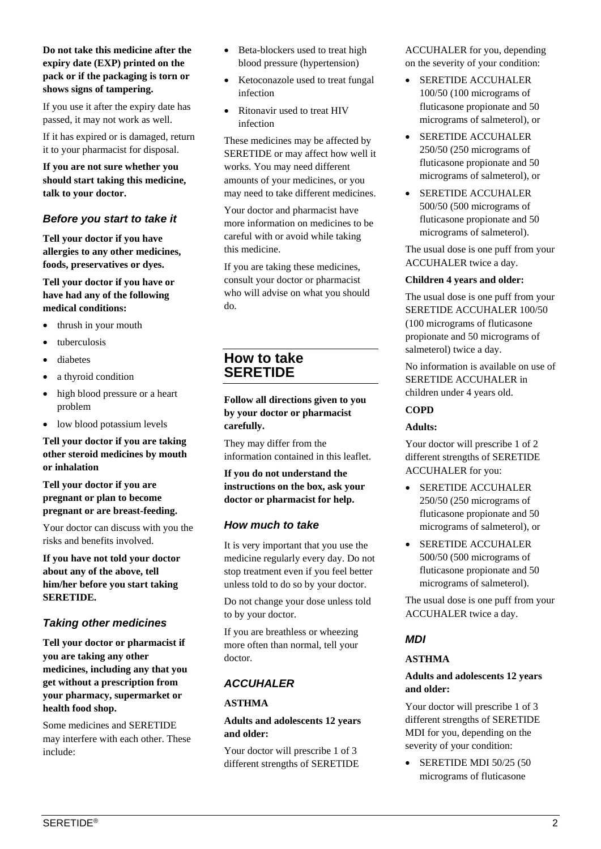#### **Do not take this medicine after the expiry date (EXP) printed on the pack or if the packaging is torn or shows signs of tampering.**

If you use it after the expiry date has passed, it may not work as well.

If it has expired or is damaged, return it to your pharmacist for disposal.

**If you are not sure whether you should start taking this medicine, talk to your doctor.** 

## *Before you start to take it*

**Tell your doctor if you have allergies to any other medicines, foods, preservatives or dyes.** 

#### **Tell your doctor if you have or have had any of the following medical conditions:**

- thrush in your mouth
- tuberculosis
- diabetes
- a thyroid condition
- high blood pressure or a heart problem
- low blood potassium levels

**Tell your doctor if you are taking other steroid medicines by mouth or inhalation** 

**Tell your doctor if you are pregnant or plan to become pregnant or are breast-feeding.** 

Your doctor can discuss with you the risks and benefits involved.

**If you have not told your doctor about any of the above, tell him/her before you start taking SERETIDE.** 

# *Taking other medicines*

**Tell your doctor or pharmacist if you are taking any other medicines, including any that you get without a prescription from your pharmacy, supermarket or health food shop.** 

Some medicines and SERETIDE may interfere with each other. These include:

- Beta-blockers used to treat high blood pressure (hypertension)
- Ketoconazole used to treat fungal infection
- Ritonavir used to treat HIV infection

These medicines may be affected by SERETIDE or may affect how well it works. You may need different amounts of your medicines, or you may need to take different medicines.

Your doctor and pharmacist have more information on medicines to be careful with or avoid while taking this medicine.

If you are taking these medicines, consult your doctor or pharmacist who will advise on what you should do.

# **How to take SERETIDE**

**Follow all directions given to you by your doctor or pharmacist carefully.** 

They may differ from the information contained in this leaflet.

**If you do not understand the instructions on the box, ask your doctor or pharmacist for help.** 

# *How much to take*

It is very important that you use the medicine regularly every day. Do not stop treatment even if you feel better unless told to do so by your doctor.

Do not change your dose unless told to by your doctor.

If you are breathless or wheezing more often than normal, tell your doctor.

# *ACCUHALER*

# **ASTHMA**

#### **Adults and adolescents 12 years and older:**

Your doctor will prescribe 1 of 3 different strengths of SERETIDE ACCUHALER for you, depending on the severity of your condition:

- SERETIDE ACCUHALER 100/50 (100 micrograms of fluticasone propionate and 50 micrograms of salmeterol), or
- SERETIDE ACCUHALER 250/50 (250 micrograms of fluticasone propionate and 50 micrograms of salmeterol), or
- SERETIDE ACCUHALER 500/50 (500 micrograms of fluticasone propionate and 50 micrograms of salmeterol).

The usual dose is one puff from your ACCUHALER twice a day.

#### **Children 4 years and older:**

The usual dose is one puff from your SERETIDE ACCUHALER 100/50 (100 micrograms of fluticasone propionate and 50 micrograms of salmeterol) twice a day.

No information is available on use of SERETIDE ACCUHALER in children under 4 years old.

#### **COPD**

#### **Adults:**

Your doctor will prescribe 1 of 2 different strengths of SERETIDE ACCUHALER for you:

- SERETIDE ACCUHALER 250/50 (250 micrograms of fluticasone propionate and 50 micrograms of salmeterol), or
- SERETIDE ACCUHALER 500/50 (500 micrograms of fluticasone propionate and 50 micrograms of salmeterol).

The usual dose is one puff from your ACCUHALER twice a day.

# *MDI*

#### **ASTHMA**

#### **Adults and adolescents 12 years and older:**

Your doctor will prescribe 1 of 3 different strengths of SERETIDE MDI for you, depending on the severity of your condition:

• SERETIDE MDI 50/25 (50 micrograms of fluticasone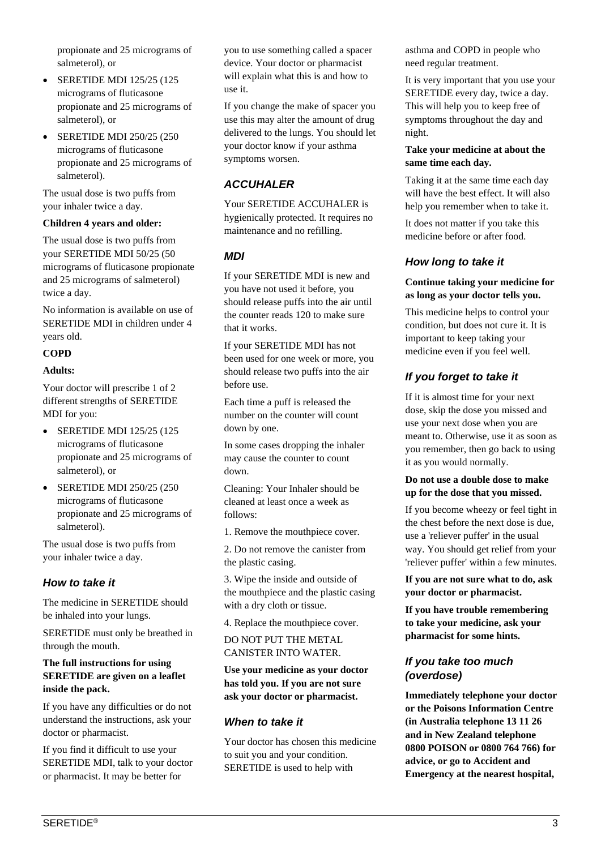propionate and 25 micrograms of salmeterol), or

- SERETIDE MDI 125/25 (125) micrograms of fluticasone propionate and 25 micrograms of salmeterol), or
- SERETIDE MDI 250/25 (250) micrograms of fluticasone propionate and 25 micrograms of salmeterol).

The usual dose is two puffs from your inhaler twice a day.

#### **Children 4 years and older:**

The usual dose is two puffs from your SERETIDE MDI 50/25 (50 micrograms of fluticasone propionate and 25 micrograms of salmeterol) twice a day.

No information is available on use of SERETIDE MDI in children under 4 years old.

#### **COPD**

#### **Adults:**

Your doctor will prescribe 1 of 2 different strengths of SERETIDE MDI for you:

- SERETIDE MDI 125/25 (125) micrograms of fluticasone propionate and 25 micrograms of salmeterol), or
- SERETIDE MDI 250/25 (250) micrograms of fluticasone propionate and 25 micrograms of salmeterol).

The usual dose is two puffs from your inhaler twice a day.

#### *How to take it*

The medicine in SERETIDE should be inhaled into your lungs.

SERETIDE must only be breathed in through the mouth.

#### **The full instructions for using SERETIDE are given on a leaflet inside the pack.**

If you have any difficulties or do not understand the instructions, ask your doctor or pharmacist.

If you find it difficult to use your SERETIDE MDI, talk to your doctor or pharmacist. It may be better for

you to use something called a spacer device. Your doctor or pharmacist will explain what this is and how to use it.

If you change the make of spacer you use this may alter the amount of drug delivered to the lungs. You should let your doctor know if your asthma symptoms worsen.

## *ACCUHALER*

Your SERETIDE ACCUHALER is hygienically protected. It requires no maintenance and no refilling.

#### *MDI*

If your SERETIDE MDI is new and you have not used it before, you should release puffs into the air until the counter reads 120 to make sure that it works.

If your SERETIDE MDI has not been used for one week or more, you should release two puffs into the air before use.

Each time a puff is released the number on the counter will count down by one.

In some cases dropping the inhaler may cause the counter to count down.

Cleaning: Your Inhaler should be cleaned at least once a week as follows:

1. Remove the mouthpiece cover.

2. Do not remove the canister from the plastic casing.

3. Wipe the inside and outside of the mouthpiece and the plastic casing with a dry cloth or tissue.

4. Replace the mouthpiece cover.

DO NOT PUT THE METAL CANISTER INTO WATER.

#### **Use your medicine as your doctor has told you. If you are not sure ask your doctor or pharmacist.**

#### *When to take it*

Your doctor has chosen this medicine to suit you and your condition. SERETIDE is used to help with

asthma and COPD in people who need regular treatment.

It is very important that you use your SERETIDE every day, twice a day. This will help you to keep free of symptoms throughout the day and night.

#### **Take your medicine at about the same time each day.**

Taking it at the same time each day will have the best effect. It will also help you remember when to take it.

It does not matter if you take this medicine before or after food.

# *How long to take it*

**Continue taking your medicine for as long as your doctor tells you.** 

This medicine helps to control your condition, but does not cure it. It is important to keep taking your medicine even if you feel well.

# *If you forget to take it*

If it is almost time for your next dose, skip the dose you missed and use your next dose when you are meant to. Otherwise, use it as soon as you remember, then go back to using it as you would normally.

#### **Do not use a double dose to make up for the dose that you missed.**

If you become wheezy or feel tight in the chest before the next dose is due, use a 'reliever puffer' in the usual way. You should get relief from your 'reliever puffer' within a few minutes.

**If you are not sure what to do, ask your doctor or pharmacist.**

**If you have trouble remembering to take your medicine, ask your pharmacist for some hints.**

# *If you take too much (overdose)*

**Immediately telephone your doctor or the Poisons Information Centre (in Australia telephone 13 11 26 and in New Zealand telephone 0800 POISON or 0800 764 766) for advice, or go to Accident and Emergency at the nearest hospital,**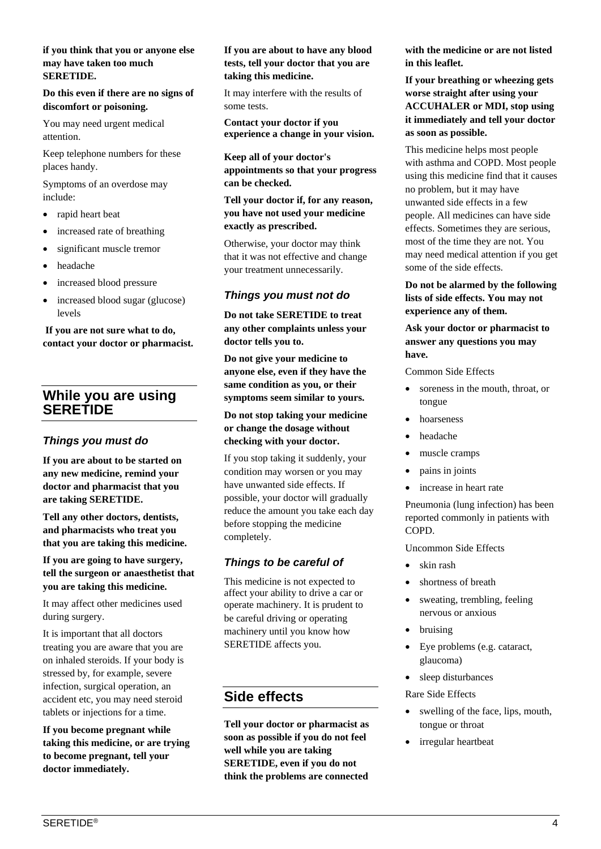#### **if you think that you or anyone else may have taken too much SERETIDE.**

**Do this even if there are no signs of discomfort or poisoning.** 

You may need urgent medical attention.

Keep telephone numbers for these places handy.

Symptoms of an overdose may include:

- rapid heart beat
- increased rate of breathing
- significant muscle tremor
- headache
- increased blood pressure
- increased blood sugar (glucose) levels

**If you are not sure what to do, contact your doctor or pharmacist.** 

# **While you are using SERETIDE**

#### *Things you must do*

**If you are about to be started on any new medicine, remind your doctor and pharmacist that you are taking SERETIDE.** 

**Tell any other doctors, dentists, and pharmacists who treat you that you are taking this medicine.** 

**If you are going to have surgery, tell the surgeon or anaesthetist that you are taking this medicine.** 

It may affect other medicines used during surgery.

It is important that all doctors treating you are aware that you are on inhaled steroids. If your body is stressed by, for example, severe infection, surgical operation, an accident etc, you may need steroid tablets or injections for a time.

**If you become pregnant while taking this medicine, or are trying to become pregnant, tell your doctor immediately.** 

#### **If you are about to have any blood tests, tell your doctor that you are taking this medicine.**

It may interfere with the results of some tests.

**Contact your doctor if you experience a change in your vision.**

**Keep all of your doctor's appointments so that your progress can be checked.** 

**Tell your doctor if, for any reason, you have not used your medicine exactly as prescribed.** 

Otherwise, your doctor may think that it was not effective and change your treatment unnecessarily.

## *Things you must not do*

**Do not take SERETIDE to treat any other complaints unless your doctor tells you to.** 

**Do not give your medicine to anyone else, even if they have the same condition as you, or their symptoms seem similar to yours.** 

**Do not stop taking your medicine or change the dosage without checking with your doctor.** 

If you stop taking it suddenly, your condition may worsen or you may have unwanted side effects. If possible, your doctor will gradually reduce the amount you take each day before stopping the medicine completely.

# *Things to be careful of*

This medicine is not expected to affect your ability to drive a car or operate machinery. It is prudent to be careful driving or operating machinery until you know how SERETIDE affects you.

# **Side effects**

**Tell your doctor or pharmacist as soon as possible if you do not feel well while you are taking SERETIDE, even if you do not think the problems are connected** 

**with the medicine or are not listed in this leaflet.** 

**If your breathing or wheezing gets worse straight after using your ACCUHALER or MDI, stop using it immediately and tell your doctor as soon as possible.** 

This medicine helps most people with asthma and COPD. Most people using this medicine find that it causes no problem, but it may have unwanted side effects in a few people. All medicines can have side effects. Sometimes they are serious, most of the time they are not. You may need medical attention if you get some of the side effects.

**Do not be alarmed by the following lists of side effects. You may not experience any of them.** 

**Ask your doctor or pharmacist to answer any questions you may have.**

Common Side Effects

- soreness in the mouth, throat, or tongue
- hoarseness
- headache
- muscle cramps
- pains in joints
- increase in heart rate

Pneumonia (lung infection) has been reported commonly in patients with COPD.

Uncommon Side Effects

- skin rash
- shortness of breath
- sweating, trembling, feeling nervous or anxious
- bruising
- Eye problems (e.g. cataract, glaucoma)
- sleep disturbances

Rare Side Effects

- swelling of the face, lips, mouth, tongue or throat
- irregular heartbeat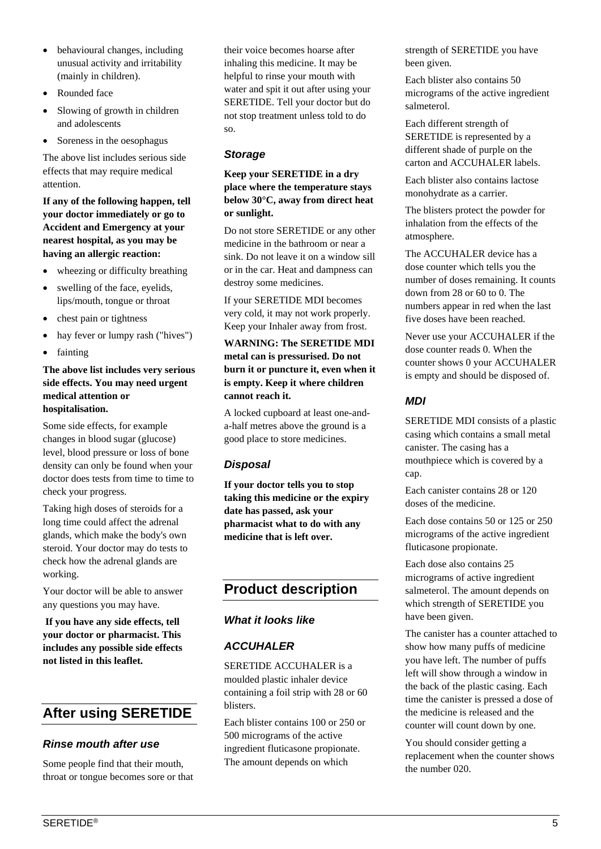- behavioural changes, including unusual activity and irritability (mainly in children).
- Rounded face
- Slowing of growth in children and adolescents
- Soreness in the oesophagus

The above list includes serious side effects that may require medical attention.

**If any of the following happen, tell your doctor immediately or go to Accident and Emergency at your nearest hospital, as you may be having an allergic reaction:** 

- wheezing or difficulty breathing
- swelling of the face, eyelids, lips/mouth, tongue or throat
- chest pain or tightness
- hay fever or lumpy rash ("hives")
- fainting

#### **The above list includes very serious side effects. You may need urgent medical attention or hospitalisation.**

Some side effects, for example changes in blood sugar (glucose) level, blood pressure or loss of bone density can only be found when your doctor does tests from time to time to check your progress.

Taking high doses of steroids for a long time could affect the adrenal glands, which make the body's own steroid. Your doctor may do tests to check how the adrenal glands are working.

Your doctor will be able to answer any questions you may have.

**If you have any side effects, tell your doctor or pharmacist. This includes any possible side effects not listed in this leaflet.**

# **After using SERETIDE**

# *Rinse mouth after use*

Some people find that their mouth, throat or tongue becomes sore or that their voice becomes hoarse after inhaling this medicine. It may be helpful to rinse your mouth with water and spit it out after using your SERETIDE. Tell your doctor but do not stop treatment unless told to do so.

# *Storage*

#### **Keep your SERETIDE in a dry place where the temperature stays below 30°C, away from direct heat or sunlight.**

Do not store SERETIDE or any other medicine in the bathroom or near a sink. Do not leave it on a window sill or in the car. Heat and dampness can destroy some medicines.

If your SERETIDE MDI becomes very cold, it may not work properly. Keep your Inhaler away from frost.

**WARNING: The SERETIDE MDI metal can is pressurised. Do not burn it or puncture it, even when it is empty. Keep it where children cannot reach it.** 

A locked cupboard at least one-anda-half metres above the ground is a good place to store medicines.

# *Disposal*

**If your doctor tells you to stop taking this medicine or the expiry date has passed, ask your pharmacist what to do with any medicine that is left over.** 

# **Product description**

# *What it looks like*

# *ACCUHALER*

SERETIDE ACCUHALER is a moulded plastic inhaler device containing a foil strip with 28 or 60 blisters.

Each blister contains 100 or 250 or 500 micrograms of the active ingredient fluticasone propionate. The amount depends on which

strength of SERETIDE you have been given.

Each blister also contains 50 micrograms of the active ingredient salmeterol.

Each different strength of SERETIDE is represented by a different shade of purple on the carton and ACCUHALER labels.

Each blister also contains lactose monohydrate as a carrier.

The blisters protect the powder for inhalation from the effects of the atmosphere.

The ACCUHALER device has a dose counter which tells you the number of doses remaining. It counts down from 28 or 60 to 0. The numbers appear in red when the last five doses have been reached.

Never use your ACCUHALER if the dose counter reads 0. When the counter shows 0 your ACCUHALER is empty and should be disposed of.

# *MDI*

SERETIDE MDI consists of a plastic casing which contains a small metal canister. The casing has a mouthpiece which is covered by a cap.

Each canister contains 28 or 120 doses of the medicine.

Each dose contains 50 or 125 or 250 micrograms of the active ingredient fluticasone propionate.

Each dose also contains 25 micrograms of active ingredient salmeterol. The amount depends on which strength of SERETIDE you have been given.

The canister has a counter attached to show how many puffs of medicine you have left. The number of puffs left will show through a window in the back of the plastic casing. Each time the canister is pressed a dose of the medicine is released and the counter will count down by one.

You should consider getting a replacement when the counter shows the number 020.